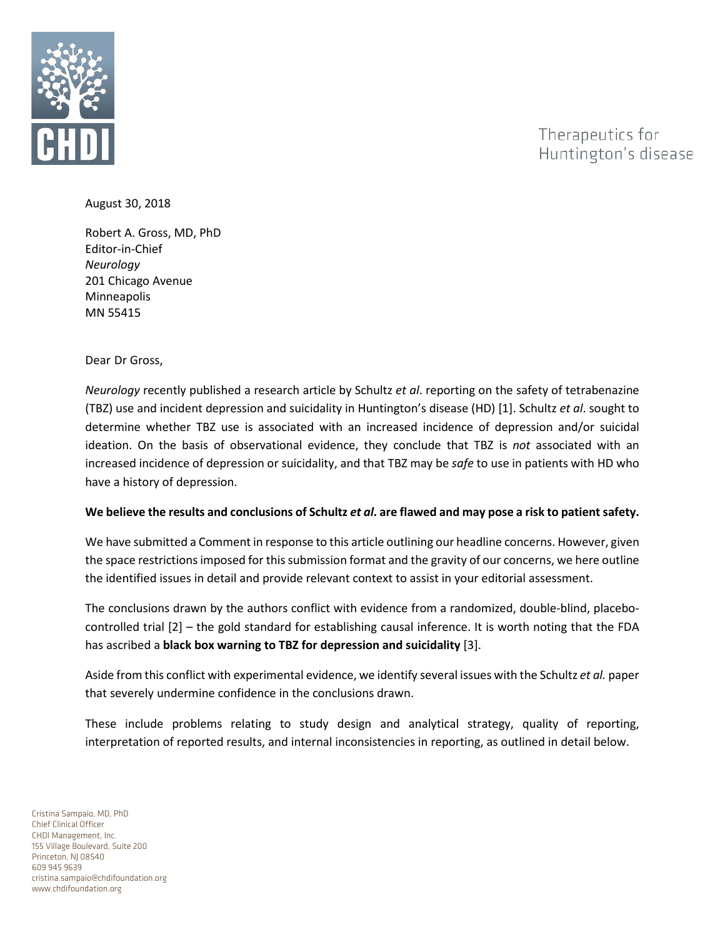

Therapeutics for Huntington's disease

August 30, 2018

Robert A. Gross, MD, PhD Editor-in-Chief *Neurology* 201 Chicago Avenue Minneapolis MN 55415

Dear Dr Gross,

*Neurology* recently published a research article by Schultz *et al*. reporting on the safety of tetrabenazine (TBZ) use and incident depression and suicidality in Huntington's disease (HD) [1]. Schultz *et al*. sought to determine whether TBZ use is associated with an increased incidence of depression and/or suicidal ideation. On the basis of observational evidence, they conclude that TBZ is *not* associated with an increased incidence of depression or suicidality, and that TBZ may be *safe* to use in patients with HD who have a history of depression.

## **We believe the results and conclusions of Schultz** *et al***. are flawed and may pose a risk to patient safety.**

We have submitted a Comment in response to this article outlining our headline concerns. However, given the space restrictions imposed for this submission format and the gravity of our concerns, we here outline the identified issues in detail and provide relevant context to assist in your editorial assessment.

The conclusions drawn by the authors conflict with evidence from a randomized, double-blind, placebocontrolled trial [2] – the gold standard for establishing causal inference. It is worth noting that the FDA has ascribed a **black box warning to TBZ for depression and suicidality** [3].

Aside from this conflict with experimental evidence, we identify several issues with the Schultz *et al.* paper that severely undermine confidence in the conclusions drawn.

These include problems relating to study design and analytical strategy, quality of reporting, interpretation of reported results, and internal inconsistencies in reporting, as outlined in detail below.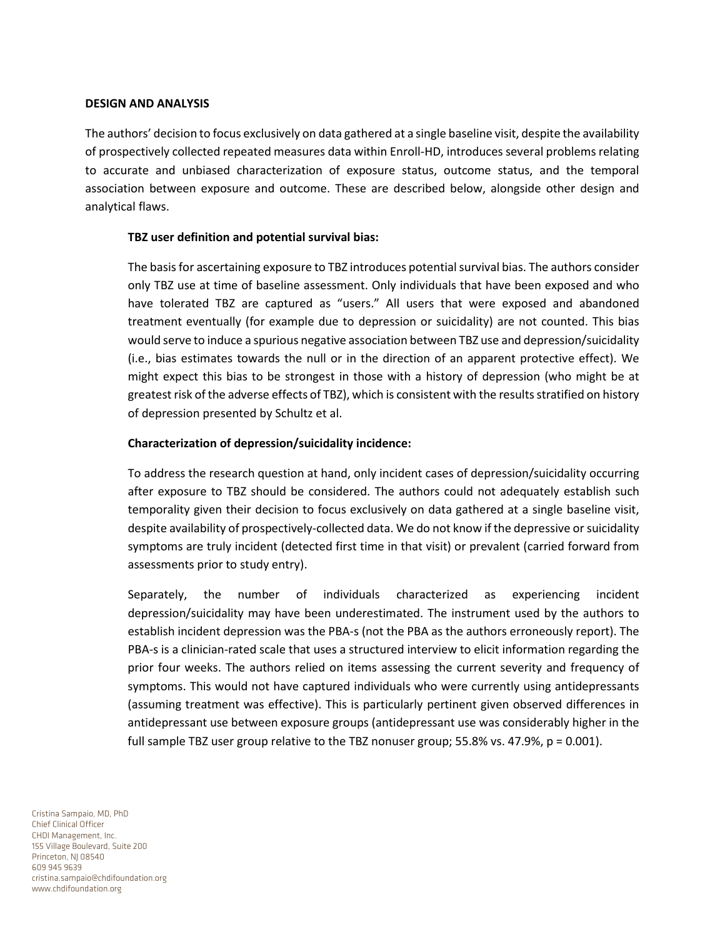#### **DESIGN AND ANALYSIS**

The authors' decision to focus exclusively on data gathered at a single baseline visit, despite the availability of prospectively collected repeated measures data within Enroll-HD, introduces several problems relating to accurate and unbiased characterization of exposure status, outcome status, and the temporal association between exposure and outcome. These are described below, alongside other design and analytical flaws.

### **TBZ user definition and potential survival bias:**

The basis for ascertaining exposure to TBZ introduces potential survival bias. The authors consider only TBZ use at time of baseline assessment. Only individuals that have been exposed and who have tolerated TBZ are captured as "users." All users that were exposed and abandoned treatment eventually (for example due to depression or suicidality) are not counted. This bias would serve to induce a spurious negative association between TBZ use and depression/suicidality (i.e., bias estimates towards the null or in the direction of an apparent protective effect). We might expect this bias to be strongest in those with a history of depression (who might be at greatest risk of the adverse effects of TBZ), which is consistent with the results stratified on history of depression presented by Schultz et al.

### **Characterization of depression/suicidality incidence:**

To address the research question at hand, only incident cases of depression/suicidality occurring after exposure to TBZ should be considered. The authors could not adequately establish such temporality given their decision to focus exclusively on data gathered at a single baseline visit, despite availability of prospectively-collected data. We do not know if the depressive or suicidality symptoms are truly incident (detected first time in that visit) or prevalent (carried forward from assessments prior to study entry).

Separately, the number of individuals characterized as experiencing incident depression/suicidality may have been underestimated. The instrument used by the authors to establish incident depression was the PBA-s (not the PBA as the authors erroneously report). The PBA-s is a clinician-rated scale that uses a structured interview to elicit information regarding the prior four weeks. The authors relied on items assessing the current severity and frequency of symptoms. This would not have captured individuals who were currently using antidepressants (assuming treatment was effective). This is particularly pertinent given observed differences in antidepressant use between exposure groups (antidepressant use was considerably higher in the full sample TBZ user group relative to the TBZ nonuser group; 55.8% vs. 47.9%, p = 0.001).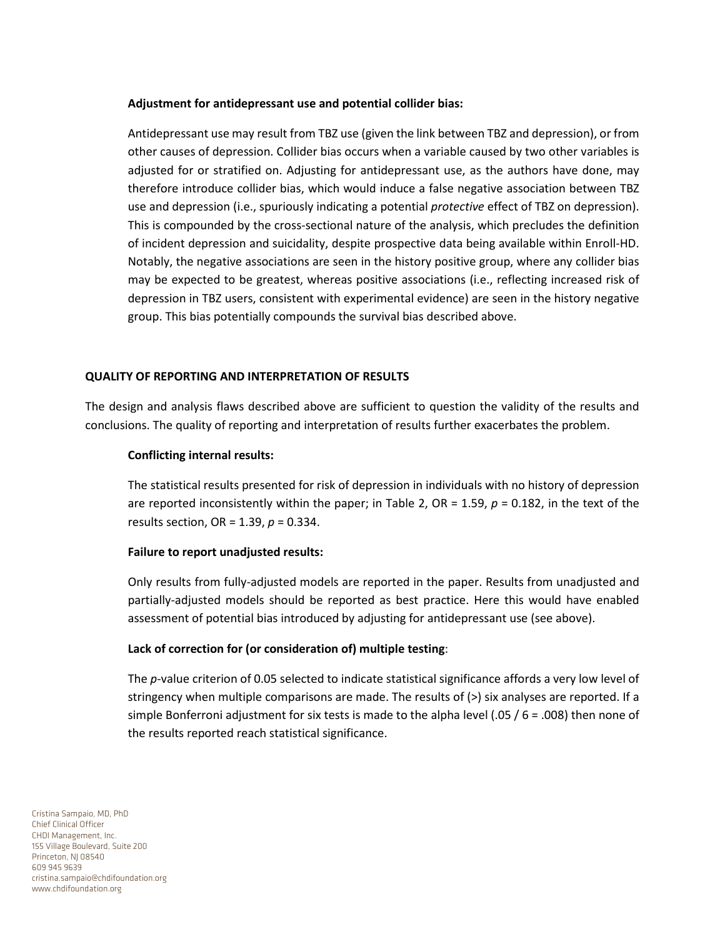### **Adjustment for antidepressant use and potential collider bias:**

Antidepressant use may result from TBZ use (given the link between TBZ and depression), or from other causes of depression. Collider bias occurs when a variable caused by two other variables is adjusted for or stratified on. Adjusting for antidepressant use, as the authors have done, may therefore introduce collider bias, which would induce a false negative association between TBZ use and depression (i.e., spuriously indicating a potential *protective* effect of TBZ on depression). This is compounded by the cross-sectional nature of the analysis, which precludes the definition of incident depression and suicidality, despite prospective data being available within Enroll-HD. Notably, the negative associations are seen in the history positive group, where any collider bias may be expected to be greatest, whereas positive associations (i.e., reflecting increased risk of depression in TBZ users, consistent with experimental evidence) are seen in the history negative group. This bias potentially compounds the survival bias described above.

## **QUALITY OF REPORTING AND INTERPRETATION OF RESULTS**

The design and analysis flaws described above are sufficient to question the validity of the results and conclusions. The quality of reporting and interpretation of results further exacerbates the problem.

# **Conflicting internal results:**

The statistical results presented for risk of depression in individuals with no history of depression are reported inconsistently within the paper; in Table 2, OR = 1.59, *p* = 0.182, in the text of the results section, OR = 1.39, *p* = 0.334.

## **Failure to report unadjusted results:**

Only results from fully-adjusted models are reported in the paper. Results from unadjusted and partially-adjusted models should be reported as best practice. Here this would have enabled assessment of potential bias introduced by adjusting for antidepressant use (see above).

## **Lack of correction for (or consideration of) multiple testing**:

The *p*-value criterion of 0.05 selected to indicate statistical significance affords a very low level of stringency when multiple comparisons are made. The results of (>) six analyses are reported. If a simple Bonferroni adjustment for six tests is made to the alpha level (.05 / 6 = .008) then none of the results reported reach statistical significance.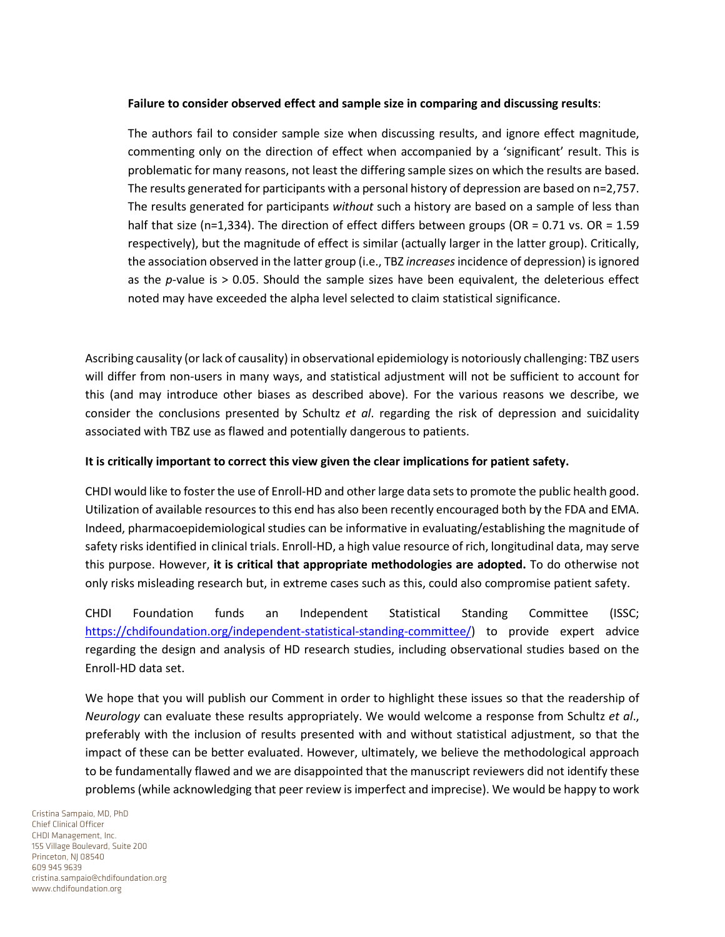### **Failure to consider observed effect and sample size in comparing and discussing results**:

The authors fail to consider sample size when discussing results, and ignore effect magnitude, commenting only on the direction of effect when accompanied by a 'significant' result. This is problematic for many reasons, not least the differing sample sizes on which the results are based. The results generated for participants with a personal history of depression are based on n=2,757. The results generated for participants *without* such a history are based on a sample of less than half that size (n=1,334). The direction of effect differs between groups (OR = 0.71 vs. OR = 1.59 respectively), but the magnitude of effect is similar (actually larger in the latter group). Critically, the association observed in the latter group (i.e., TBZ *increases*incidence of depression) is ignored as the *p*-value is > 0.05. Should the sample sizes have been equivalent, the deleterious effect noted may have exceeded the alpha level selected to claim statistical significance.

Ascribing causality (or lack of causality) in observational epidemiology is notoriously challenging: TBZ users will differ from non-users in many ways, and statistical adjustment will not be sufficient to account for this (and may introduce other biases as described above). For the various reasons we describe, we consider the conclusions presented by Schultz *et al*. regarding the risk of depression and suicidality associated with TBZ use as flawed and potentially dangerous to patients.

## **It is critically important to correct this view given the clear implications for patient safety.**

CHDI would like to foster the use of Enroll-HD and other large data sets to promote the public health good. Utilization of available resources to this end has also been recently encouraged both by the FDA and EMA. Indeed, pharmacoepidemiological studies can be informative in evaluating/establishing the magnitude of safety risks identified in clinical trials. Enroll-HD, a high value resource of rich, longitudinal data, may serve this purpose. However, **it is critical that appropriate methodologies are adopted.** To do otherwise not only risks misleading research but, in extreme cases such as this, could also compromise patient safety.

CHDI Foundation funds an Independent Statistical Standing Committee (ISSC; [https://chdifoundation.org/independent-statistical-standing-committee/\)](https://chdifoundation.org/independent-statistical-standing-committee/) to provide expert advice regarding the design and analysis of HD research studies, including observational studies based on the Enroll-HD data set.

We hope that you will publish our Comment in order to highlight these issues so that the readership of *Neurology* can evaluate these results appropriately. We would welcome a response from Schultz *et al*., preferably with the inclusion of results presented with and without statistical adjustment, so that the impact of these can be better evaluated. However, ultimately, we believe the methodological approach to be fundamentally flawed and we are disappointed that the manuscript reviewers did not identify these problems (while acknowledging that peer review is imperfect and imprecise). We would be happy to work